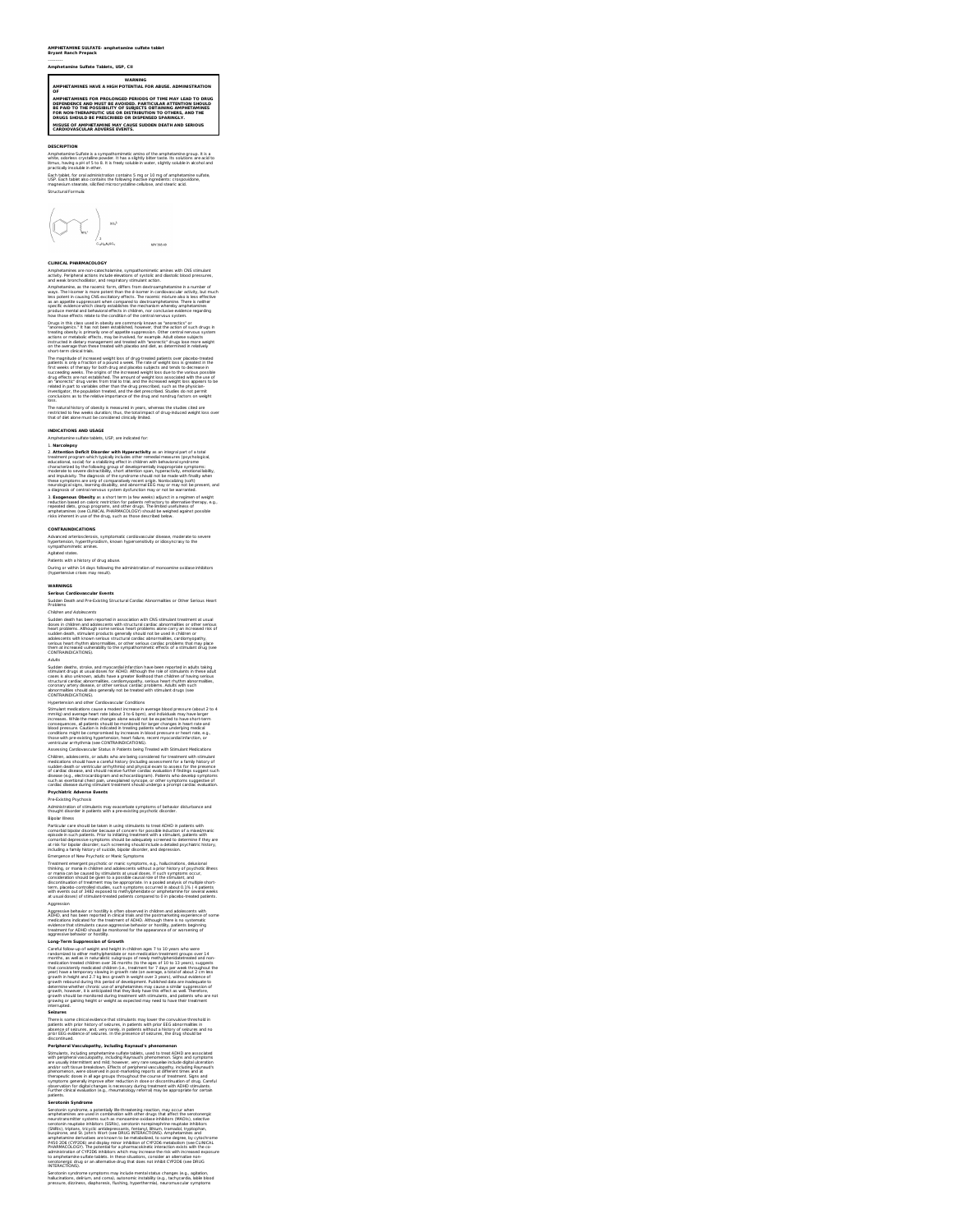### **AMPHETAMINE SULFATE- amphetamine sulfate tablet Bryant Ranch Prepack**

### ---------- **Amphetamine Sulfate Tablets, USP, CII**

### **WARNING AMPHETAMINES HAVE A HIGH POTENTIAL FOR ABUSE. ADMINISTRATION**

OF<br>AMPACTAMINES FOR PROLONGED PERIODS OF TIME NAY LEAD TO DRUG<br>BE PAID TO THE POSSIBILITY OF SUBJECTS OBTAINING AMPHETAMINES<br>FOR NON-THERAPEUTIC USE OR DISTRIBUTION TO OTHERS, AND THE<br>FOR NON-THERAPEUTIC USE OR DISTRIBUTIO

### **DESCRIPTION**

Structural Formula:

### Amphetamine Sulfate is a sympathominetic amino of the amphetamine group. It is a<br>white, odoriess crystaline powder. It has a slightly bitter taste. Its solutions are acid to<br>litmus, having a pH of 5 to 8. It is freely solu

Each tablet, for oral administration contains 5 mg or 10 mg of amphetamine sulfate,<br>USP. Each tablet also contains the following inactive ingredients: crospovidone,<br>magnesium stearate, silicified microcrystalline cellulose



CLINICAL PHAMPARCOLOON<br>Templation and the control of the computation of the control of the control of the control of the control of the control of the control of the control of the control of the control of the control of

palments is conjust from the parameters are considered in the state of the state of the state of the state of the state of the state of the state of the state of the state of the state of the state of the state of the stat

The natural history of obesity is measured in years, whereas the studies cited are<br>restricted to few weeks duration; thus, the total impact of drug-induced weight loss over<br>that of diet abne must be considered clinically l

### **INDICATIONS AND USAGE**

Amplitudes<br>with the state of the state of the probability of the probability of<br>the state of the state of the state of the state of the state of the<br>control property of the state of the state of the state of the state<br>of

**CONTRAINDICATIONS**<br>Advanced arteriosclerosis, symptomatic cardiovascular disease, moderate to severe<br>hypertension, hyperthyroidism, known hypersensitivity or idiosyncrasy to the<br>sympathomimetic amines.

Agitated states.<br>During or with a history of drug abuse.<br>During or within 14 days following the administration of monoamine oxidase inhibitors<br>(hypertensive crises may result).

**WARMINGS**<br>**Such an Cardiovascular Events**<br>Continue Cardiovascular Events<br>Columbus and Arriva Ferdinans Structural Cardioc Ahmormalities or Other Serious Heart<br>Chalters and Adolescents<br>Chalters and Arriva Cardiovascular St

Sudden deaths, strong, and myocardial therschon have been reported in adults taking deaths, and a strong of the<br>Case is also unknown, adults have a greater Budhood than children of having serious<br>structural carelas abnorma

Simulation methods on the control of the spectra of the spectra of the spectra of the spectra of the spectra of the spectra of the spectra of the spectra of the spectra of the spectra of the spectra of the spectra of the

Administration of stimulants may exacerbate symptoms of behavior disturbance and<br>thought disorder in patients with a pre-existing psychotic disorder.

Bipuli libera.<br>Particular care atoud be taken in using stimularits to treat ADHD in partiers with<br>methods result in the spatial field of the following texture and in stimularly, politicially in<br>control digenous experiments

Aggressive behavior or hostlity is often observed in children and adolsscents with<br>ADHD, and has been reported in clinical trials and the postmarketing experience of some<br>medications indicated for the treatment of ADHD. Al

Long Term Supposession of Growth in children ages 7 to 10 years who were<br>Carolin (blow-paper) and with the children ages 7 to 10 years who were<br>modelled blow-paper and the modelled codepagnage of news yields possible and

There is come of the detailed frequency of the state of the compatibility of the state of the state of the state of the state of the state of the state of the state of the state of the state of the state of the state of t

Servictionis Symphones<br>Serviction Symphones a potentially the threatening reaction, may occur when<br>considerably represented a constraint of the constraints of the constraints<br>and construction representation in monography c

Serotonin syndrome symptoms may include mental status changes (e.g., agitation,<br>halucinations, delirium, and coma), autonomic instability (e.g., tachycardia, labile blood<br>pressure, dizziness, diaphoresis, flushing, hyperth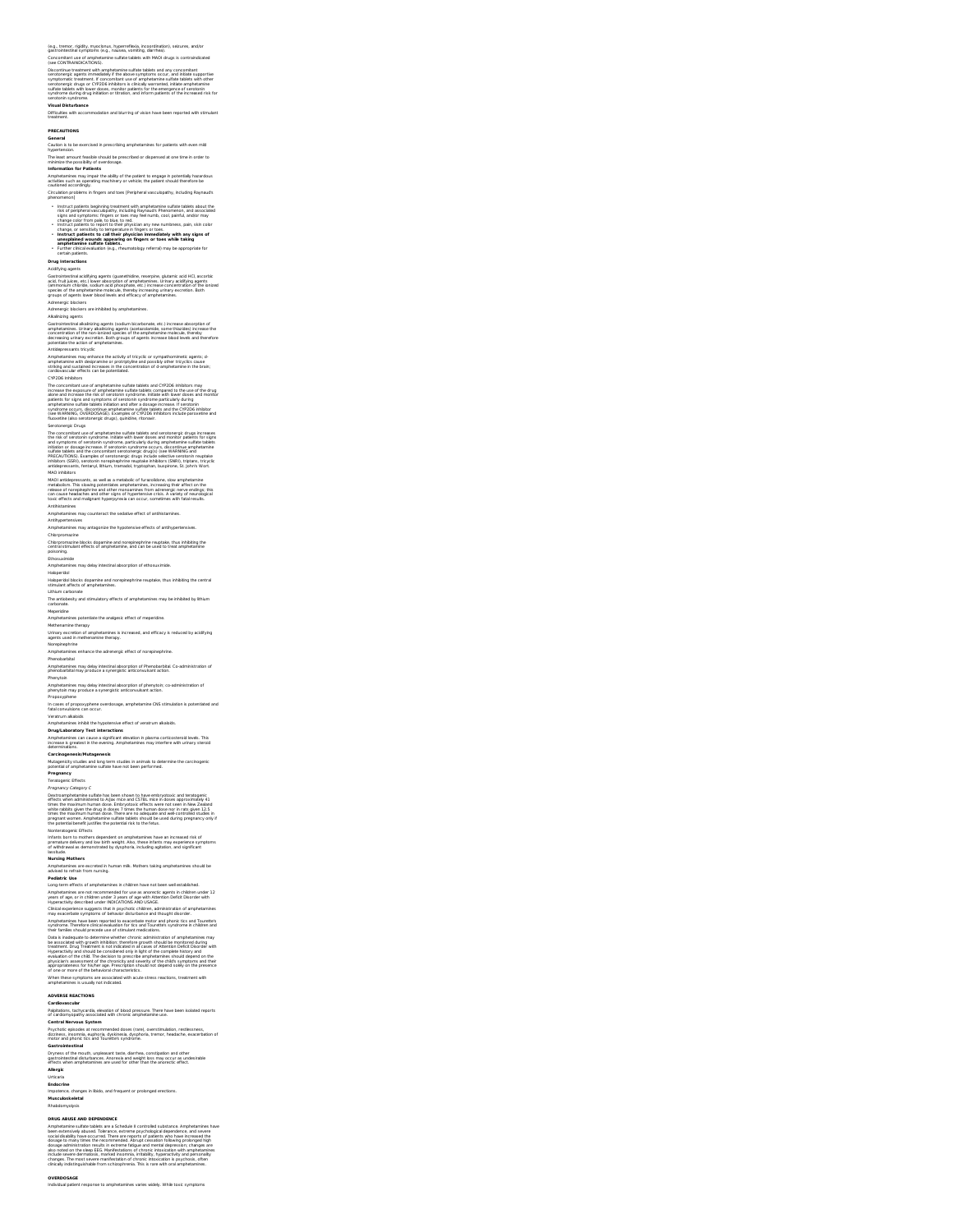### (e.g., tremor, rigidity, myoclonus, hyperreflexia, incoordination), seizures, and/or<br>gastrointestinal symptoms (e.g., nausea, vomiting, diarrhea).<br>Concomitant use of amphetamine suifate tablets with MAOI drugs is contraind

(see CONTRAINDICATIONS).<br>Executive and many and a structure state tablets and any concomitant<br>seriodnergic agents immediately if the above symptoms cocur, and initiate supportive<br>symptomatic treatment. If concomitant use o

serotonin syndrome. **Visual Disturbance**

tion and blurring of vision have been reported with stimulan Difficulties with acco<br>treatment.

**PRECAUTIONS General** www...<br>Caution is to be exercised in prescribing amphetamines for patients with even mild<br>hypertension.

Caution is to be overclosed in prescribing amphotomienes for patients with even mid<br>intermediation of the distribution of the projection of dispenses at one time in order to<br>intermediate the **Patients**<br>Amphobianism may pro

• Instr

• Instr<br>har<br>• Inst Instruct patients beginning tendometry and supplementies suifare about the constraints and constructions of the construction of the construction of the construction of the construction of the construction of the construct

• Furti

### **Drug Interactions** Acidifying agents

Gastrointestinal acidifying agents (guanethidine, reserpine, glutamic acid HCl, accorbic<br>acid, fruit juices, etc.) lower absorption of amphetamines. Urhary acidifying agents<br>(ammonium chioride, sodium acid phosphate, etc.)

Advenuery blockers<br>
Advenuery Dockers are inhebted by amphettamines.<br>
Advenuery Spects<br>
Advenuery Spects are inhebted by amphettamines.<br>
Advenuery Spectrum of the non-location decisions and the content of the content of th

the value of anotherin symbolics. Which we though the choice point of the signs of the symbolic for symbolic points of the symbolic points of the symbolic points of the symbolic symbolic points of the symbolic symbolic sy

Antihistamines<br>Amphetamines may counteract the sedative effect of antihistamines.

Antihypertensives<br>Amphetamines may antagonize the hypotensive effects of antihypertensives.

Chlorpromazine<br>Chlorpromazine blocks dopamine and norepinephrine reuptake, thus inhibiting the<br>central stimulant effects of amphetamine, and can be used to treat amphetamine<br>Ethosuxininde<br>Amphetamines may delay intestinal

Haloperidol<br>Haloperidol blocks dopamine and norepinephrine reuptake, thus inhibiting the central<br>stimulant affects of amphetamines.

Lithium carbonate<br>The antiobesity and stimulatory effects of amphetamines may be inhibited by lithium<br>Meperidine<br>Amphetamines potentiate the analgesic effect of meperidine.

Netherawine therapy<br>Urbany screening and market analog is recreased, and efficacy is reduced by acidiying<br>Birepaysperince extracted the adverage effect of noreginaphrine.<br>Pheophotinistic minute of the adverage effect of no

In cases of propoxyphene overdosage, amphetamine CNS stimulation is potentiated and fatal convulsions can occur.

Verstmin skabisks<br>Amphabmics in hist the hypotensive effect of verstrum skabisks.<br>Amphabmics can cause a significant elevation in plasma conticosteroid levels. This<br>Amphabmics can cause a significant elevation in plasma co

Multaparcity studies and long term tasket in casminal to distinct the carcinogenic properties.<br>The appearing moving the studies have not been performed.<br>Frequency consideration to cluste the studies in the studies entry of

years of age, or in children under 3 years of age with Attention Deficit Disorder with<br>Hyperactivity described under INDICATIONS AND USAGE.

Clinical experience suggests that in psychotic children, administration of amphetamines<br>may exacerbate symptoms of behavior disturbance and thought disorder.

Amphetamines have been reported to exacerbate motor and phonic tics and Tourette's<br>syndrome. Therefore clinical evaluation for tics and Tourette's syndrome in children and<br>their families should precede use of stimulant med

Data is nadegate to determine whether chronic atministration of ampheterines may<br>be associated with growth inhibiter, therefore growth should be modeleved during<br>this procedure with growth inhibiter, the relation of the co

ADVISINE REACTIONS<br>Cardiovascular<br>Cardiovascular (acceleration of biood pressure, There have been isolated reports<br>Cardiovas<sub>c</sub>ular (acceleration of biood pressure, There have been isolated reports<br>Cardiovascular (accelera

Dryness of the mouth, unpleasant taste, diarrhea, constipation and other<br>gastrointestinal disturbances. Anorexia and weight loss may occur as undesirable<br>effects when amphetamines are used for other than the anorectic effe

**Allergic** Urticaria **Endocrine**

**Musculoskeletal** Rhabdomyolysis

DRUG ABUSE AND DEPENDONCE<br>  $\mathbf{R} = \mathbf{R}$  and the state of the state of the state of the state of the state of the state of the state of the state of the state of the state of the state of the state of the state of the s

is in libido, and frequent or prolonged erections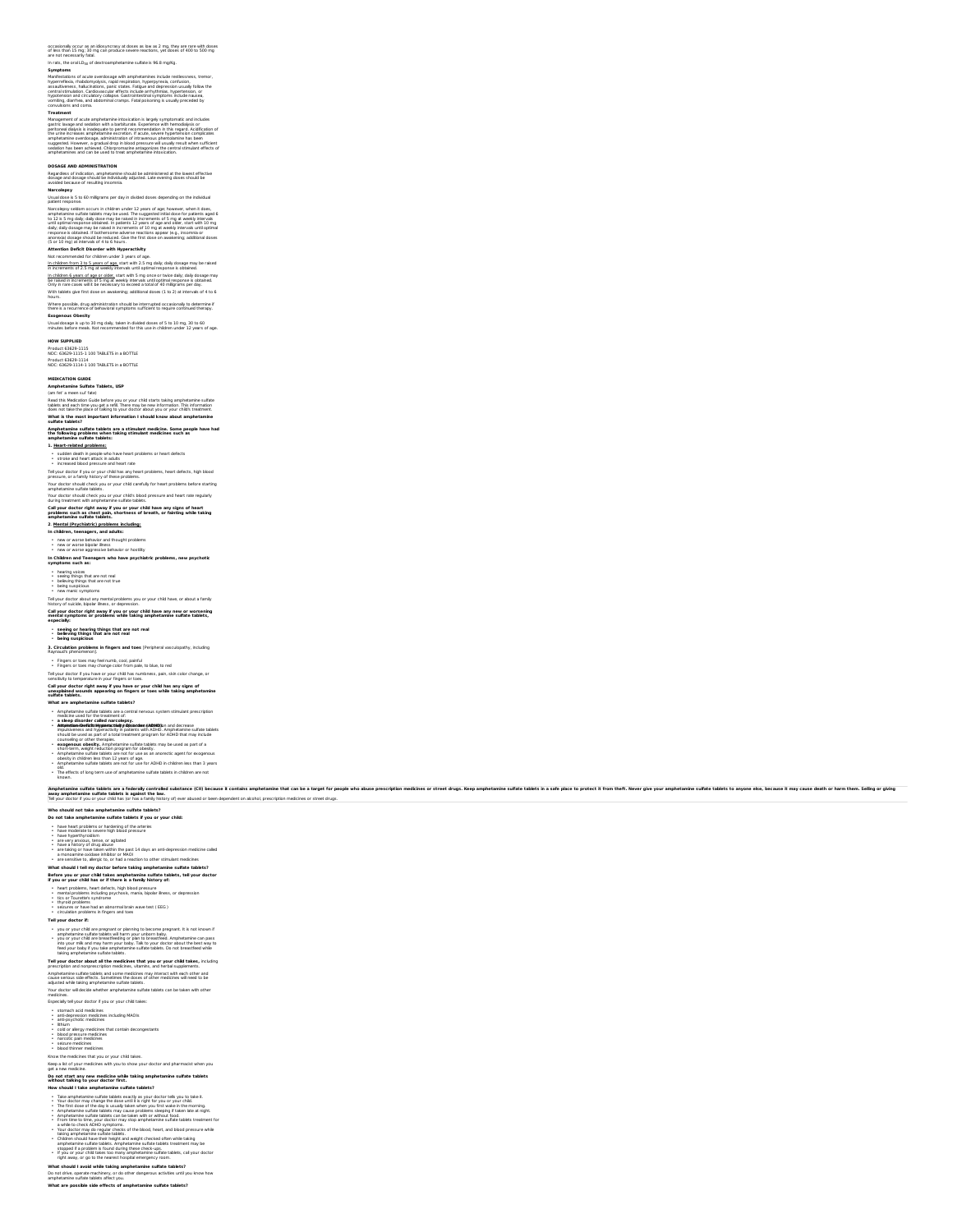### 50 UI UE

In rate, the oral LD<sub>ist</sub> of destroamphetamine suffabe is 96.8 mg/kg.<br>**Symptoms**<br>Manifestations of aculto average with amphetamines include restlessness, tremor,<br>hypertefiesis, rhabismovely, rapid respration, hypergreesis

# Treatment of acute ampletance interaction is largely symptomatic and includes<br>Management of acute ampletance interaction is largely symptomatic in the<br>discussional dialysis is hadden acute and connection in this regard Ac

**DOSAGE AND ADMINISTRATION**

Regardless of indication, amphetamine should be administered at the lowest effective<br>dosage and dosage should be individually adjusted. Late evening doses should be<br>avoided because of resulting insomnia.

### **Narcolepsy**<br>Usual dose is 5 to 60 milligrams per day in divided doses depending on the individual

patient response.<br>
Subscriptions of the filtren under 12 years of age however, when it does,<br>
the Case of the control of the control of the control of the seeds that the control of the control of the control of the control

In children & years of age or claist, start with 5 mg once or twice daily daily desage may<br>be raised in increments of 5 mg at weekly intervals until optimal response is obtained.<br>Only in rare cases will it be necessary to

Where possible, drug administration should be interrupted occasionally to determine if<br>there is a recurrence of behavioral symptoms sufficient to require continued therapy. **Exogenous Obesity**<br>Usual dosage is up to 30 mg daily, taken in divided doses of 5 to 10 mg, 30 to 60<br>minutes before meals. Not recommended for this use in children under 12 years of age.

**HOW SUPPLIED**<br>Product 63629-1115<br>NDC: 63629-1115-1<br>Product 63629-1114-1 100 TABLETS in a BOTTLE<br>NDC: 63629-1114-1 100 TABLETS in a BOTTLE

**MEDICATION GUIDE Amphetamine Sulfate Tablets, USP** (am fet' a meen sul' fate)

Read this Medication Gaide before you or your child starts taking amphetamine suifabe<br>tablets and each time you get a refil. There may be new information. This information<br>does not take the place of taking to your doctor a

Amphetamine sulfate tablets are a stimulant medicine. Some people have had<br>the following problems when taking stimulant medicines such as<br>amphetamine sulfate tablets:

**1. Beachcrainted and<br>Profile and the propie who have heart problems or heart deflects<br>• surfole and heart attack in additional problems are heart attended in the state and heart attack<br>• horeased labod pressure and heart** sudden death in people who have heart problems or heart defects<br>stroke and heart attack in adults<br>increased blood pressure and heart rate

Your doctor should check you or your child's blood pressure and heart rate regularly<br>during treatment with amphetamine sulfate tablets.

Call your doctor right away if you or your child have any signs of heart<br>problems such as chest pain, shortness of breath, or fainting while taking<br>amphetamine sulfate tablets.<br>2. <u>Mental (Psyc</u>hiatric) problems including:

• Inew or worse biphakr linds<br>• Inew or worse bipable liness<br>• Inew or worse aggressive behavior or hostilty<br>**In Children and Teenagers who have psychiatric problems, new psychotic<br>symptoms such as:** new or worse behavior and thought problems<br>new or worse bipolar illness<br>new or worse aggressive behavior or hostility

hearing voices<br>seeing things that are not real<br>beleving things that are not true<br>being suspicious<br>new manic symptoms

• hearing voices<br>• seeing things that are not true<br>• hearing suspicious: are mot true<br>• new manic symptoms<br>• new manic symptoms<br>history of suicide, bipolar illness, or depression.<br>history of suicide, bipolar illness, or de

Call your doctor right away if you or your child have any new or worsening<br>mental symptoms or problems while taking amphetamine sulfate tablets,<br>especially:

• • • **seeing or hearing things that are not real believing things that are not real being suspicious**

**3. Circulation problems in fingers and toes** [Peripheral vasculopathy, including

Fingers or toes may feel numb, cool, painful<br>Fingers or toes may change color from pale, to blue, to red

Reymant's phenomenon).<br>• Fingers or toes may feel murnic, cool, painful.<br>• Fingers or toes may feel murnic, cool, painful.<br>• Fingers or the multiplicative in your finds has mumbeness, pain, skin color change, or<br>• Geology

Ampب<br>med<br>• ask<br>• Attp

Ampledeamles authors beauties are a centre in envoyes system stimulant preception<br>a skep discretion called Marceleauxy<br>Advanture and the state of the state of the state of the state of the state<br>and the state of the state

## • exer<br>• Amp<br>• des<br>• Amp

### • old. The effects of long term useofamphetamine sulfate tablets in children are not

known.

Amphamber aufare and and any cannoted substance (Ci) because it contains may be made propose who shuse prescription medities or street drugs. Keep amphetamine sultate the because for the the whole of the contained and the

Who should not take amphetamine sulfate tablets?<br>Do not take amphetamine sulfate tablets if you or your child:

+ has heart gradient as the<br>distribution of the property of the state of the state of the state<br> $\alpha$  - the objective colors of the state of the state<br> $\alpha$  - and value of the state of the state of the state<br> $\alpha$  - and valu have heart problems or hardening of the arterists<br>have moderate to severe high blood pressure<br>are very anxious, transl, or aghated<br>are taking or have laten within the past 14 days an anti-depression medicine called<br>have a

• heart problems, hear<br>• mental problems incl<br>• tiss or Tourette's sy<br>• thyroid problems<br>• seizures or have had<br>• circulation problems<br>**Tell your doctor if:** heart problems, heart defects, high blood pressure<br>thes or Tourette's syndrome<br>tics or Tourette's syndrome<br>seleures or have had an abnormal brain wave test ( EEG )<br>seleures or have had an abnormal brain wave test ( EEG )<br>c

you or your chkl are pregnant or planning to become pregnant. It is not known if<br>amphetamine sulfate tablets will harm your unborn baby.<br>you or your chkl are breastfoeding or plan to breastfoed. Amphetamine can pass<br>http y

**Tell your doctor about all the medicines that you or your child takes,** including<br>prescription and nonprescription medicines, vitamins, and herbal supplements. Amphetamine sulfate tablets and some medicines may interact with each other and cause serious side effects. Sometimes the doses of other medicines will need to be adjusted while taking amphetamine sulfate tablets.

Your doctor will decide whether amphetamine sulfate tablets can be taken with other<br>medicines.<br>Especially tell your doctor if you or your child takes:

• ston<br>anti-<br>anti-<br>ithiu<br>cold<br>bloo<br>• selzy<br>bloo stomach acid medicines<br>anti-depression medicines<br>interpsychotic medicines<br>thium<br>tham<br>tham continues<br>abood propositions that contain decongestants<br>sales of propositions<br>sales that containes<br>sales of thium medicines

• If yo

### Know the medicines that you or your child takes.<br>Keep a list of your medicines with you to show your<br>get a new medicine.

What should I avoid while taking amphetamine sulfate tablets?<br>Do not drive, operate machinery, or do other dangerous activities until you know how<br>amphetamine sulfate tablets affect you.<br>What are possible side effects of a

Keeps 3 htt of your medicines with you to show your describes and plasmaches when you<br>a box and start any new medicine while taking amplestanting started taking<br>the box should 1 take ampletamine suffice tables to<br> $\tau$ . Th Take an experimente such as the space of the space distribution in the space technique and the space of the space of the space of the space of the space of the space of the space of the space of the space of the space of